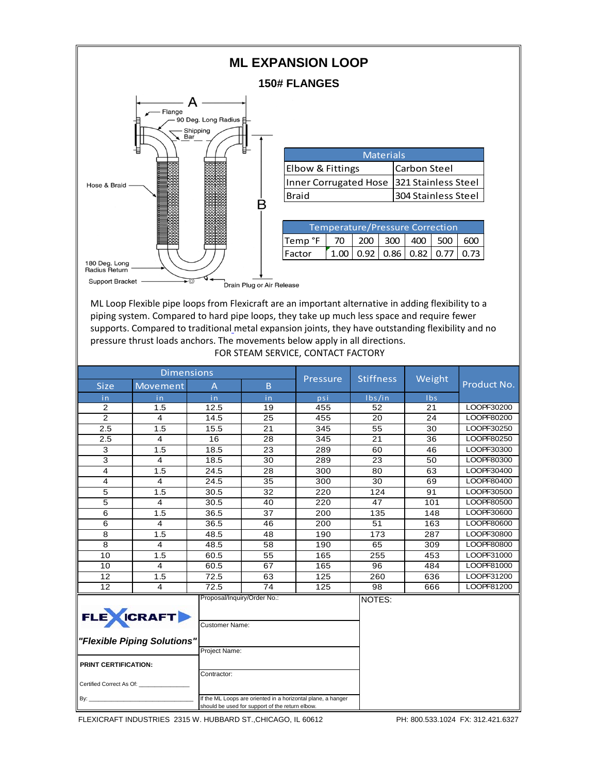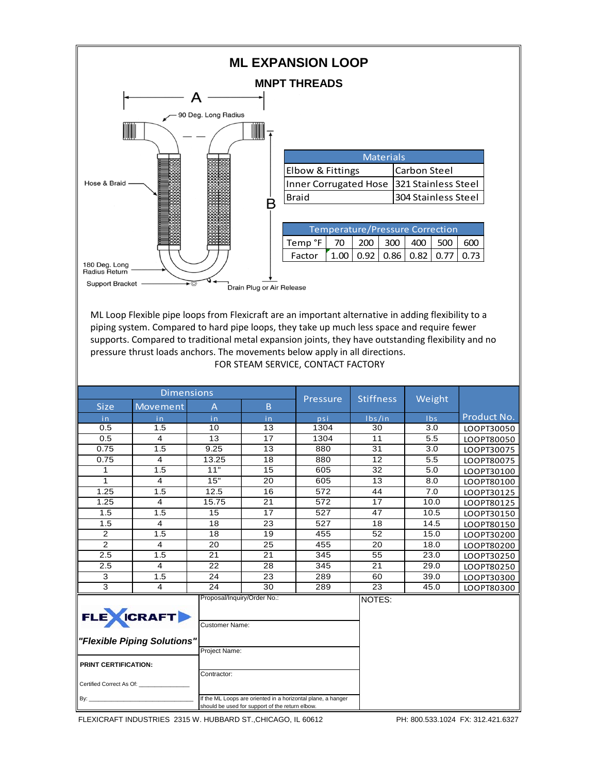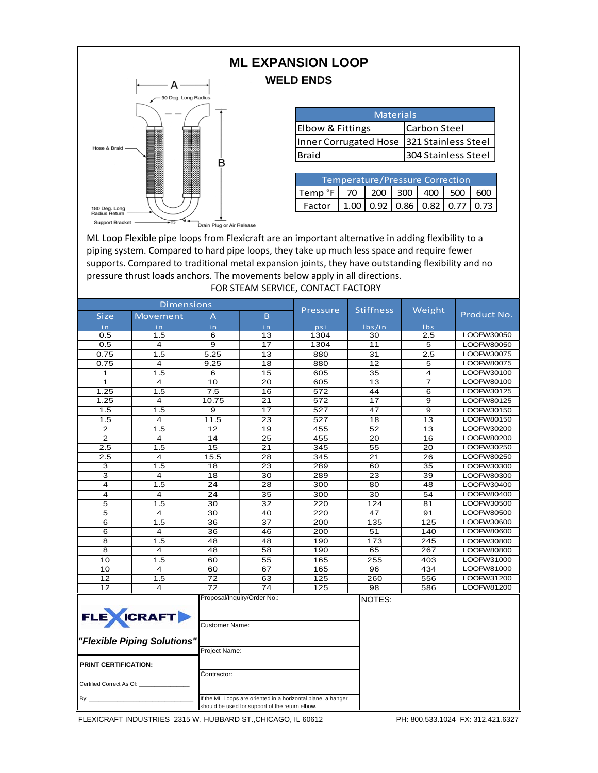## **ML EXPANSION LOOP WELD ENDS**



| <b>Materials</b>                          |                     |  |  |  |  |  |
|-------------------------------------------|---------------------|--|--|--|--|--|
| Elbow & Fittings                          | <b>Carbon Steel</b> |  |  |  |  |  |
| Inner Corrugated Hose 321 Stainless Steel |                     |  |  |  |  |  |
| <b>Braid</b>                              | 304 Stainless Steel |  |  |  |  |  |

| Temperature/Pressure Correction                  |  |  |  |  |  |  |  |
|--------------------------------------------------|--|--|--|--|--|--|--|
| Temp °F   70   200   300   400   500   600       |  |  |  |  |  |  |  |
| Factor   1.00   0.92   0.86   0.82   0.77   0.73 |  |  |  |  |  |  |  |

Drain Plug or Air Release

ML Loop Flexible pipe loops from Flexicraft are an important alternative in adding flexibility to a piping system. Compared to hard pipe loops, they take up much less space and require fewer supports. Compared to traditional metal expansion joints, they have outstanding flexibility and no pressure thrust loads anchors. The movements below apply in all directions. FOR STEAM SERVICE, CONTACT FACTORY

| <b>Dimensions</b>                                                                               |                                     |                  |                 |                  |                  |                 |             |
|-------------------------------------------------------------------------------------------------|-------------------------------------|------------------|-----------------|------------------|------------------|-----------------|-------------|
| Size                                                                                            | Movement                            | A                | <sub>B</sub>    | <b>Pressure</b>  | <b>Stiffness</b> | Weight          | Product No. |
| in.                                                                                             | in                                  | in.              | in.             | psi              | Ibs/in           | <b>Ibs</b>      |             |
| 0.5                                                                                             | 1.5                                 | 6                | 13              | 1304             | 30               | 2.5             | LOOPW30050  |
| 0.5                                                                                             | 4                                   | 9                | 17              | 1304             | 11               | 5               | LOOPW80050  |
| 0.75                                                                                            | 1.5                                 | 5.25             | 13              | 880              | $\overline{31}$  | 2.5             | LOOPW30075  |
| 0.75                                                                                            | 4                                   | 9.25             | 18              | 880              | 12               | 5               | LOOPW80075  |
| 1                                                                                               | 1.5                                 | 6                | 15              | 605              | 35               | 4               | LOOPW30100  |
| $\mathbf{1}$                                                                                    | $\overline{\mathbf{4}}$             | 10               | $\overline{20}$ | 605              | 13               | $\overline{7}$  | LOOPW80100  |
| 1.25                                                                                            | 1.5                                 | $\overline{7.5}$ | 16              | $\overline{572}$ | 44               | 6               | LOOPW30125  |
| 1.25                                                                                            | 4                                   | 10.75            | 21              | 572              | 17               | 9               | LOOPW80125  |
| 1.5                                                                                             | 1.5                                 | 9                | 17              | 527              | 47               | 9               | LOOPW30150  |
| 1.5                                                                                             | 4                                   | 11.5             | $\overline{23}$ | 527              | 18               | $\overline{13}$ | LOOPW80150  |
| $\mathbf{2}$                                                                                    | 1.5                                 | 12               | 19              | 455              | 52               | 13              | LOOPW30200  |
| 2                                                                                               | 4                                   | 14               | 25              | 455              | 20               | 16              | LOOPW80200  |
| 2.5                                                                                             | 1.5                                 | $\overline{15}$  | 21              | 345              | 55               | 20              | LOOPW30250  |
| 2.5                                                                                             | 4                                   | 15.5             | $\overline{28}$ | 345              | 21               | $\overline{26}$ | LOOPW80250  |
| 3                                                                                               | 1.5                                 | 18               | 23              | 289              | 60               | 35              | LOOPW30300  |
| 3                                                                                               | 4                                   | 18               | 30              | 289              | 23               | 39              | LOOPW80300  |
| $\overline{4}$                                                                                  | 1.5                                 | 24               | 28              | 300              | 80               | 48              | LOOPW30400  |
| $\overline{4}$                                                                                  | 4                                   | 24               | 35              | 300              | 30               | 54              | LOOPW80400  |
| 5                                                                                               | 1.5                                 | 30               | $\overline{32}$ | 220              | 124              | 81              | LOOPW30500  |
| 5                                                                                               | $\overline{4}$                      | 30               | 40              | 220              | 47               | 91              | LOOPW80500  |
| $\overline{6}$                                                                                  | 1.5                                 | $\overline{36}$  | $\overline{37}$ | 200              | 135              | 125             | LOOPW30600  |
| 6                                                                                               | $\overline{\mathbf{4}}$             | 36               | 46              | 200              | 51               | 140             | LOOPW80600  |
| 8                                                                                               | 1.5                                 | 48               | 48              | 190              | 173              | 245             | LOOPW30800  |
| $\overline{8}$                                                                                  | $\overline{\mathbf{4}}$             | 48               | $\overline{58}$ | 190              | 65               | 267             | LOOPW80800  |
| 10                                                                                              | 1.5                                 | 60               | 55              | 165              | 255              | 403             | LOOPW31000  |
| 10                                                                                              | 4                                   | 60               | 67              | 165              | 96               | 434             | LOOPW81000  |
| $\overline{12}$                                                                                 | 1.5                                 | $\overline{72}$  | 63              | 125              | 260              | 556             | LOOPW31200  |
| $\overline{12}$                                                                                 | 4                                   | $\overline{72}$  | 74              | 125              | $\overline{98}$  | 586             | LOOPW81200  |
| Proposal/Inquiry/Order No.:<br>FLE CRAFT<br><b>Customer Name:</b>                               |                                     |                  |                 | NOTES:           |                  |                 |             |
| "Flexible Piping Solutions"<br>Project Name:                                                    |                                     |                  |                 |                  |                  |                 |             |
|                                                                                                 | PRINT CERTIFICATION:<br>Contractor: |                  |                 |                  |                  |                 |             |
| Certified Correct As Of:<br>By:<br>If the ML Loops are oriented in a horizontal plane, a hanger |                                     |                  |                 |                  |                  |                 |             |

FLEXICRAFT INDUSTRIES 2315 W. HUBBARD ST.,CHICAGO, IL 60612 PH: 800.533.1024 FX: 312.421.6327

should be used for support of the return elbow.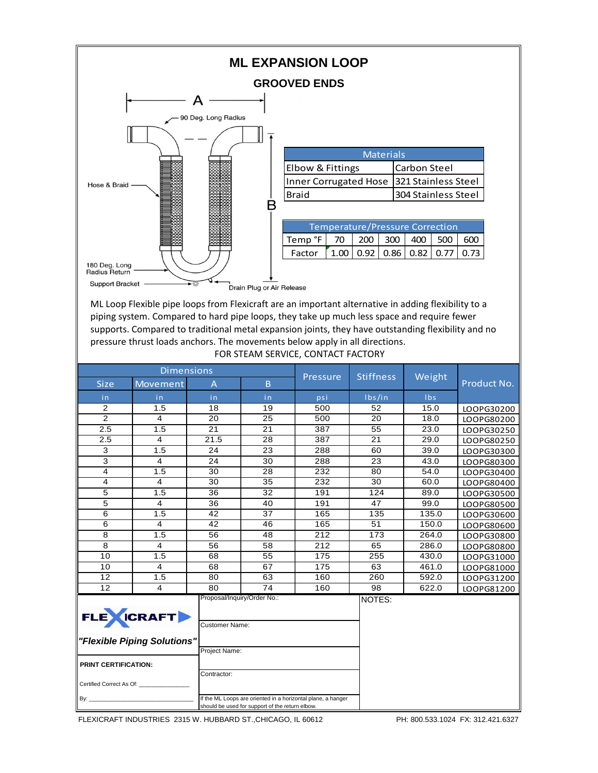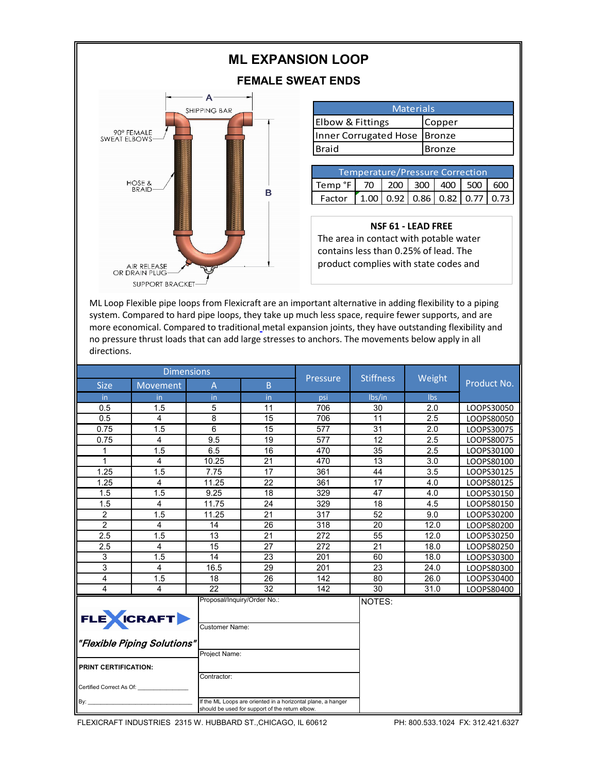## **ML EXPANSION LOOP**

## **FEMALE SWEAT ENDS**



| <b>Materials</b>             |        |  |  |  |  |
|------------------------------|--------|--|--|--|--|
| <b>Elbow &amp; Fittings</b>  | Copper |  |  |  |  |
| Inner Corrugated Hose Bronze |        |  |  |  |  |
| Braid                        | Bronze |  |  |  |  |

| Temperature/Pressure Correction            |  |  |  |  |  |                                                                                      |  |
|--------------------------------------------|--|--|--|--|--|--------------------------------------------------------------------------------------|--|
| Temp °F   70   200   300   400   500   600 |  |  |  |  |  |                                                                                      |  |
| Factor                                     |  |  |  |  |  | $\left[ 1.00 \right] 0.92 \left[ 0.86 \right] 0.82 \left[ 0.77 \right] 0.73 \right]$ |  |

## **NSF 61 - LEAD FREE**

The area in contact with potable water contains less than 0.25% of lead. The product complies with state codes and

ML Loop Flexible pipe loops from Flexicraft are an important alternative in adding flexibility to a piping system. Compared to hard pipe loops, they take up much less space, require fewer supports, and are more economical. Compared to traditional metal expansion joints, they have outstanding flexibility and no pressure thrust loads that can add large stresses to anchors. The movements below apply in all directions.

| <b>Dimensions</b>                                                                                                           |          |       |                             |                 |                  |            |             |
|-----------------------------------------------------------------------------------------------------------------------------|----------|-------|-----------------------------|-----------------|------------------|------------|-------------|
| <b>Size</b>                                                                                                                 | Movement | A     | B                           | <b>Pressure</b> | <b>Stiffness</b> | Weight     | Product No. |
| in.                                                                                                                         | in.      | in    | in                          | psi             | lbs/in           | <b>lbs</b> |             |
| 0.5                                                                                                                         | 1.5      | 5     | 11                          | 706             | 30               | 2.0        | LOOPS30050  |
| 0.5                                                                                                                         | 4        | 8     | 15                          | 706             | 11               | 2.5        | LOOPS80050  |
| 0.75                                                                                                                        | 1.5      | 6     | 15                          | 577             | 31               | 2.0        | LOOPS30075  |
| 0.75                                                                                                                        | 4        | 9.5   | 19                          | 577             | 12               | 2.5        | LOOPS80075  |
| 1                                                                                                                           | 1.5      | 6.5   | 16                          | 470             | 35               | 2.5        | LOOPS30100  |
| $\mathbf{1}$                                                                                                                | 4        | 10.25 | 21                          | 470             | 13               | 3.0        | LOOPS80100  |
| 1.25                                                                                                                        | 1.5      | 7.75  | 17                          | 361             | 44               | 3.5        | LOOPS30125  |
| 1.25                                                                                                                        | 4        | 11.25 | 22                          | 361             | 17               | 4.0        | LOOPS80125  |
| 1.5                                                                                                                         | 1.5      | 9.25  | 18                          | 329             | 47               | 4.0        | LOOPS30150  |
| 1.5                                                                                                                         | 4        | 11.75 | 24                          | 329             | 18               | 4.5        | LOOPS80150  |
| $\overline{2}$                                                                                                              | 1.5      | 11.25 | 21                          | 317             | 52               | 9.0        | LOOPS30200  |
| $\overline{2}$                                                                                                              | 4        | 14    | 26                          | 318             | 20               | 12.0       | LOOPS80200  |
| 2.5                                                                                                                         | 1.5      | 13    | 21                          | 272             | 55               | 12.0       | LOOPS30250  |
| 2.5                                                                                                                         | 4        | 15    | 27                          | 272             | 21               | 18.0       | LOOPS80250  |
| 3                                                                                                                           | 1.5      | 14    | 23                          | 201             | 60               | 18.0       | LOOPS30300  |
| 3                                                                                                                           | 4        | 16.5  | 29                          | 201             | 23               | 24.0       | LOOPS80300  |
| $\overline{4}$                                                                                                              | 1.5      | 18    | 26                          | 142             | 80               | 26.0       | LOOPS30400  |
| 4                                                                                                                           | 4        | 22    | 32                          | 142             | 30               | 31.0       | LOOPS80400  |
| FLE CRAFT<br><b>Customer Name:</b><br>"Flexible Piping Solutions"<br>Project Name:<br><b>PRINT CERTIFICATION:</b>           |          |       | Proposal/Inquiry/Order No.: |                 | NOTES:           |            |             |
| Contractor:<br>Certified Correct As Of:                                                                                     |          |       |                             |                 |                  |            |             |
| If the ML Loops are oriented in a horizontal plane, a hanger<br>By: $\_$<br>should be used for support of the return elbow. |          |       |                             |                 |                  |            |             |